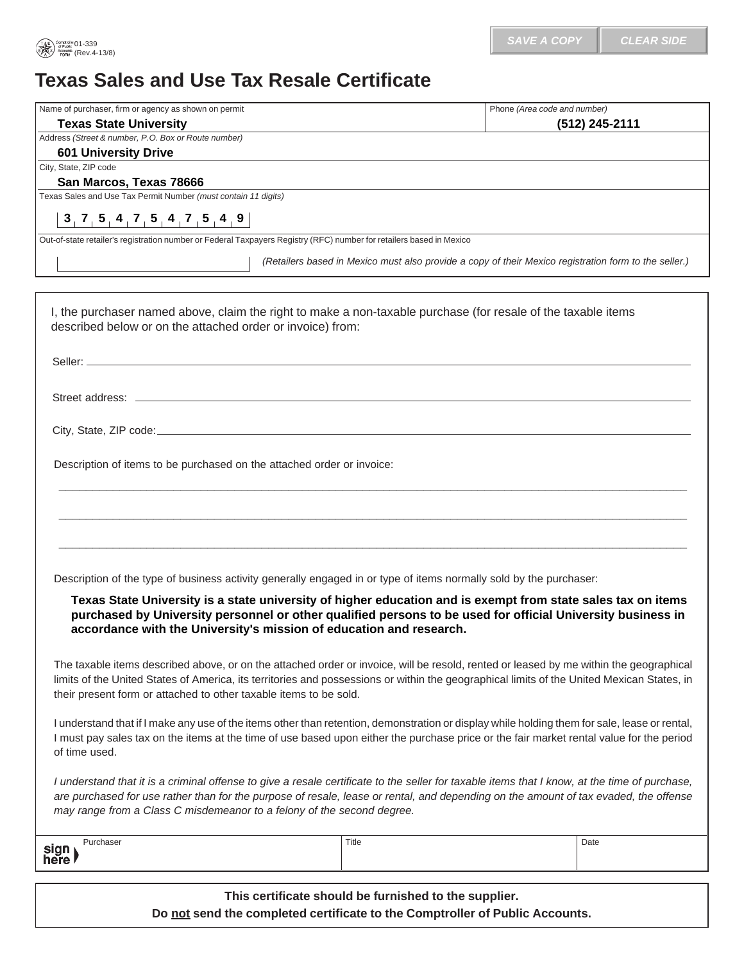## **Texas Sales and Use Tax Resale Certificate**

| Name of purchaser, firm or agency as shown on permit                                                                                                                           | Phone (Area code and number)                                                                                  |
|--------------------------------------------------------------------------------------------------------------------------------------------------------------------------------|---------------------------------------------------------------------------------------------------------------|
| <b>Texas State University</b>                                                                                                                                                  | (512) 245-2111                                                                                                |
| Address (Street & number, P.O. Box or Route number)                                                                                                                            |                                                                                                               |
| <b>601 University Drive</b><br>City, State, ZIP code                                                                                                                           |                                                                                                               |
| San Marcos, Texas 78666                                                                                                                                                        |                                                                                                               |
| Texas Sales and Use Tax Permit Number (must contain 11 digits)                                                                                                                 |                                                                                                               |
| 3, 7, 5, 4, 7, 5, 4, 7, 5, 4, 9                                                                                                                                                |                                                                                                               |
| Out-of-state retailer's registration number or Federal Taxpayers Registry (RFC) number for retailers based in Mexico                                                           |                                                                                                               |
|                                                                                                                                                                                | (Retailers based in Mexico must also provide a copy of their Mexico registration form to the seller.)         |
|                                                                                                                                                                                |                                                                                                               |
|                                                                                                                                                                                | I, the purchaser named above, claim the right to make a non-taxable purchase (for resale of the taxable items |
| described below or on the attached order or invoice) from:<br>Street address: Letter and the street and the street and the street and the street and the street and the street |                                                                                                               |
|                                                                                                                                                                                |                                                                                                               |
|                                                                                                                                                                                |                                                                                                               |
| Description of items to be purchased on the attached order or invoice:                                                                                                         |                                                                                                               |
|                                                                                                                                                                                |                                                                                                               |
|                                                                                                                                                                                |                                                                                                               |
|                                                                                                                                                                                |                                                                                                               |
|                                                                                                                                                                                |                                                                                                               |
|                                                                                                                                                                                |                                                                                                               |

The taxable items described above, or on the attached order or invoice, will be resold, rented or leased by me within the geographical limits of the United States of America, its territories and possessions or within the geographical limits of the United Mexican States, in their present form or attached to other taxable items to be sold.

I understand that if I make any use of the items other than retention, demonstration or display while holding them for sale, lease or rental, I must pay sales tax on the items at the time of use based upon either the purchase price or the fair market rental value for the period of time used.

*I understand that it is a criminal offense to give a resale certificate to the seller for taxable items that I know, at the time of purchase, are purchased for use rather than for the purpose of resale, lease or rental, and depending on the amount of tax evaded, the offense may range from a Class C misdemeanor to a felony of the second degree.* 

| sign<br>here |  |
|--------------|--|

**This certificate should be furnished to the supplier. Do not send the completed certificate to the Comptroller of Public Accounts.**